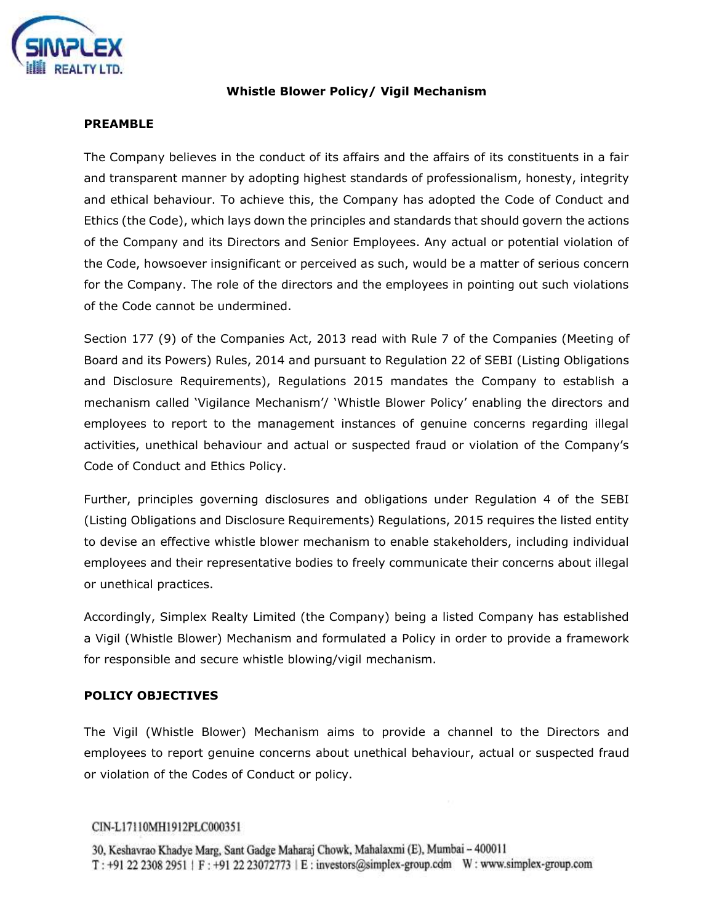

# **Whistle Blower Policy/ Vigil Mechanism**

### **PREAMBLE**

The Company believes in the conduct of its affairs and the affairs of its constituents in a fair and transparent manner by adopting highest standards of professionalism, honesty, integrity and ethical behaviour. To achieve this, the Company has adopted the Code of Conduct and Ethics (the Code), which lays down the principles and standards that should govern the actions of the Company and its Directors and Senior Employees. Any actual or potential violation of the Code, howsoever insignificant or perceived as such, would be a matter of serious concern for the Company. The role of the directors and the employees in pointing out such violations of the Code cannot be undermined.

Section 177 (9) of the Companies Act, 2013 read with Rule 7 of the Companies (Meeting of Board and its Powers) Rules, 2014 and pursuant to Regulation 22 of SEBI (Listing Obligations and Disclosure Requirements), Regulations 2015 mandates the Company to establish a mechanism called 'Vigilance Mechanism'/ 'Whistle Blower Policy' enabling the directors and employees to report to the management instances of genuine concerns regarding illegal activities, unethical behaviour and actual or suspected fraud or violation of the Company's Code of Conduct and Ethics Policy.

Further, principles governing disclosures and obligations under Regulation 4 of the SEBI (Listing Obligations and Disclosure Requirements) Regulations, 2015 requires the listed entity to devise an effective whistle blower mechanism to enable stakeholders, including individual employees and their representative bodies to freely communicate their concerns about illegal or unethical practices.

Accordingly, Simplex Realty Limited (the Company) being a listed Company has established a Vigil (Whistle Blower) Mechanism and formulated a Policy in order to provide a framework for responsible and secure whistle blowing/vigil mechanism.

# **POLICY OBJECTIVES**

The Vigil (Whistle Blower) Mechanism aims to provide a channel to the Directors and employees to report genuine concerns about unethical behaviour, actual or suspected fraud or violation of the Codes of Conduct or policy.

#### CIN-L17110MH1912PLC000351

30, Keshavrao Khadye Marg, Sant Gadge Maharaj Chowk, Mahalaxmi (E), Mumbai - 400011 T: +91 22 2308 2951 | F: +91 22 23072773 | E: investors@simplex-group.cdm W: www.simplex-group.com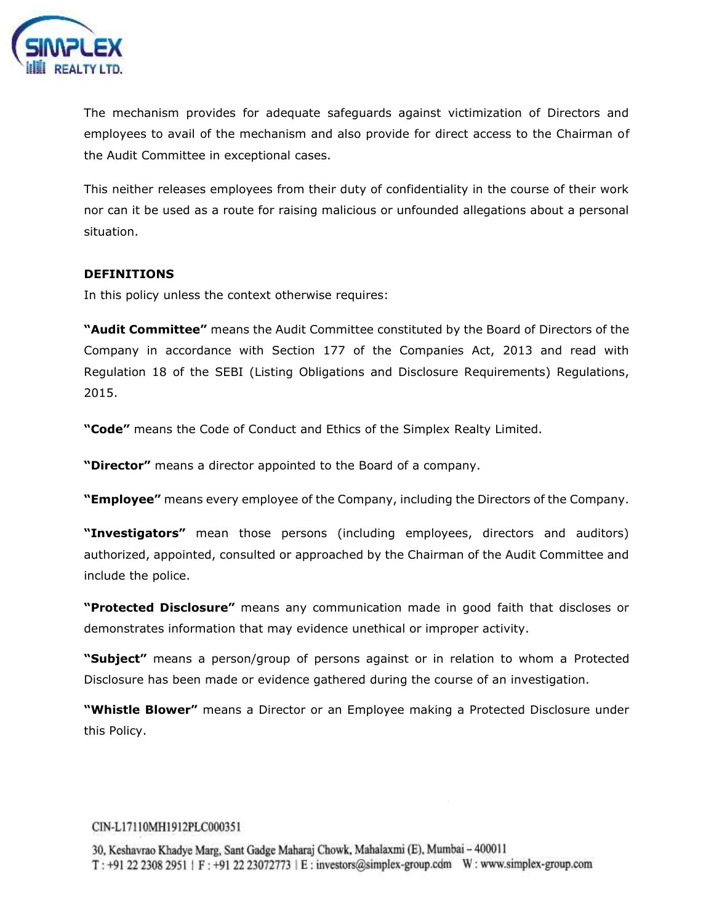

The mechanism provides for adequate safeguards against victimization of Directors and employees to avail of the mechanism and also provide for direct access to the Chairman of the Audit Committee in exceptional cases.

This neither releases employees from their duty of confidentiality in the course of their work nor can it be used as a route for raising malicious or unfounded allegations about a personal situation.

# **DEFINITIONS**

In this policy unless the context otherwise requires:

**"Audit Committee"** means the Audit Committee constituted by the Board of Directors of the Company in accordance with Section 177 of the Companies Act, 2013 and read with Regulation 18 of the SEBI (Listing Obligations and Disclosure Requirements) Regulations, 2015.

**"Code"** means the Code of Conduct and Ethics of the Simplex Realty Limited.

**"Director"** means a [director](https://www.mca.gov.in/content/mca/global/en/acts-rules/ebooks/acts.html?act=NTk2MQ==) appointed to the Board of a company.

**"Employee"** means every employee of the Company, including the Directors of the Company.

**"Investigators"** mean those persons (including employees, directors and auditors) authorized, appointed, consulted or approached by the Chairman of the Audit Committee and include the police.

**"Protected Disclosure"** means any communication made in good faith that discloses or demonstrates information that may evidence unethical or improper activity.

**"Subject"** means a person/group of persons against or in relation to whom a Protected Disclosure has been made or evidence gathered during the course of an investigation.

**"Whistle Blower"** means a Director or an Employee making a Protected Disclosure under this Policy.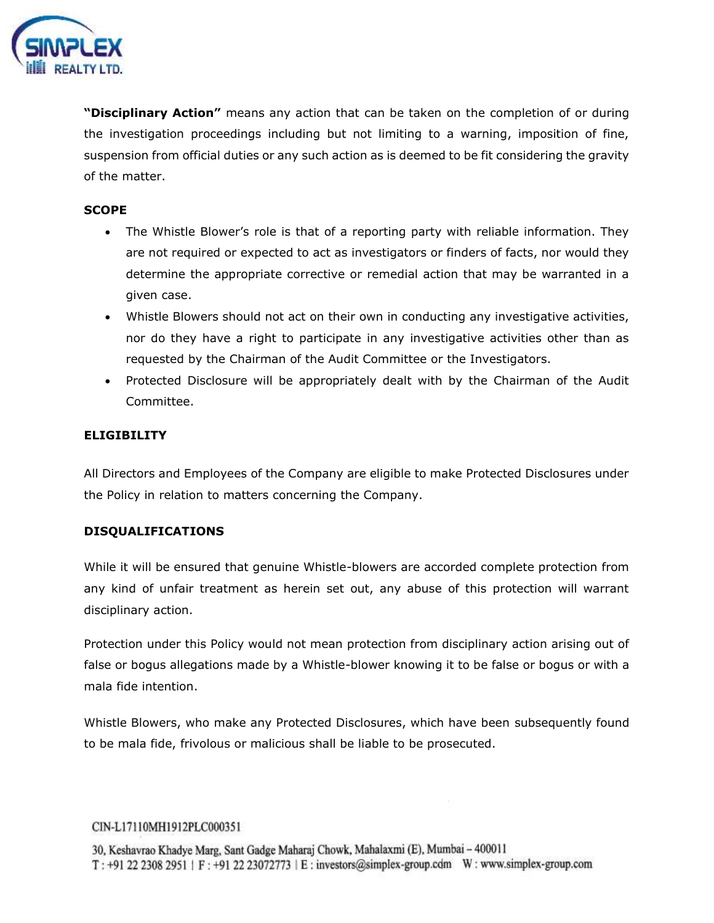

**"Disciplinary Action"** means any action that can be taken on the completion of or during the investigation proceedings including but not limiting to a warning, imposition of fine, suspension from official duties or any such action as is deemed to be fit considering the gravity of the matter.

# **SCOPE**

- The Whistle Blower's role is that of a reporting party with reliable information. They are not required or expected to act as investigators or finders of facts, nor would they determine the appropriate corrective or remedial action that may be warranted in a given case.
- Whistle Blowers should not act on their own in conducting any investigative activities, nor do they have a right to participate in any investigative activities other than as requested by the Chairman of the Audit Committee or the Investigators.
- Protected Disclosure will be appropriately dealt with by the Chairman of the Audit Committee.

# **ELIGIBILITY**

All Directors and Employees of the Company are eligible to make Protected Disclosures under the Policy in relation to matters concerning the Company.

# **DISQUALIFICATIONS**

While it will be ensured that genuine Whistle-blowers are accorded complete protection from any kind of unfair treatment as herein set out, any abuse of this protection will warrant disciplinary action.

Protection under this Policy would not mean protection from disciplinary action arising out of false or bogus allegations made by a Whistle-blower knowing it to be false or bogus or with a mala fide intention.

Whistle Blowers, who make any Protected Disclosures, which have been subsequently found to be mala fide, frivolous or malicious shall be liable to be prosecuted.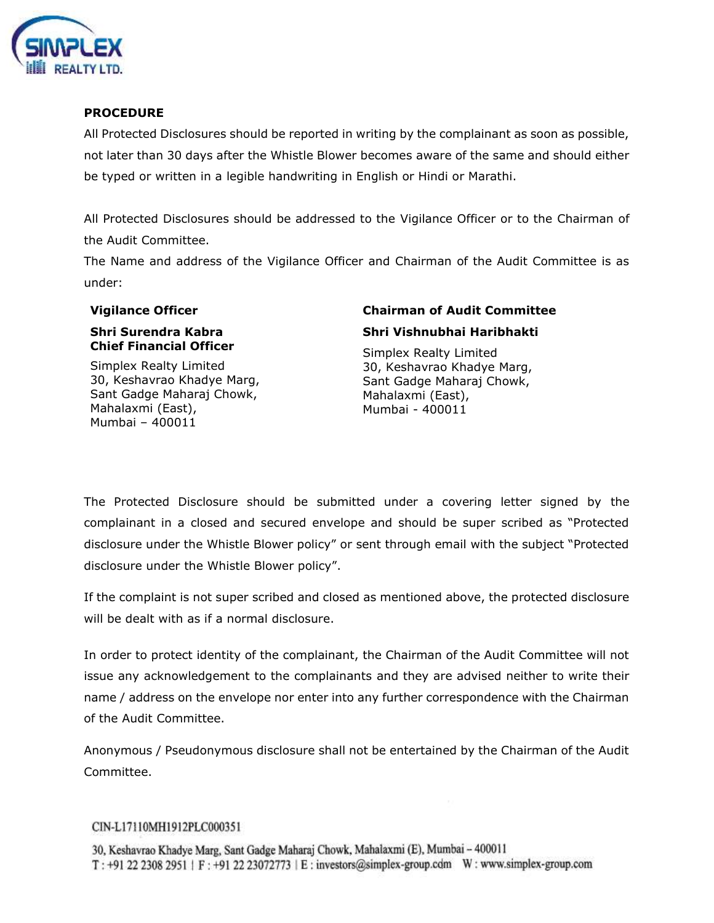

# **PROCEDURE**

All Protected Disclosures should be reported in writing by the complainant as soon as possible, not later than 30 days after the Whistle Blower becomes aware of the same and should either be typed or written in a legible handwriting in English or Hindi or Marathi.

All Protected Disclosures should be addressed to the Vigilance Officer or to the Chairman of the Audit Committee.

The Name and address of the Vigilance Officer and Chairman of the Audit Committee is as under:

# **Shri Surendra Kabra Chief Financial Officer**

Simplex Realty Limited 30, Keshavrao Khadye Marg, Sant Gadge Maharaj Chowk, Mahalaxmi (East), Mumbai – 400011

# **Vigilance Officer Chairman of Audit Committee Shri Vishnubhai Haribhakti**

Simplex Realty Limited 30, Keshavrao Khadye Marg, Sant Gadge Maharaj Chowk, Mahalaxmi (East), Mumbai - 400011

The Protected Disclosure should be submitted under a covering letter signed by the complainant in a closed and secured envelope and should be super scribed as "Protected disclosure under the Whistle Blower policy" or sent through email with the subject "Protected disclosure under the Whistle Blower policy".

If the complaint is not super scribed and closed as mentioned above, the protected disclosure will be dealt with as if a normal disclosure.

In order to protect identity of the complainant, the Chairman of the Audit Committee will not issue any acknowledgement to the complainants and they are advised neither to write their name / address on the envelope nor enter into any further correspondence with the Chairman of the Audit Committee.

Anonymous / Pseudonymous disclosure shall not be entertained by the Chairman of the Audit Committee.

#### CIN-L17110MH1912PLC000351

30, Keshavrao Khadye Marg, Sant Gadge Maharaj Chowk, Mahalaxmi (E), Mumbai - 400011 T: +91 22 2308 2951 | F: +91 22 23072773 | E: investors@simplex-group.cdm W: www.simplex-group.com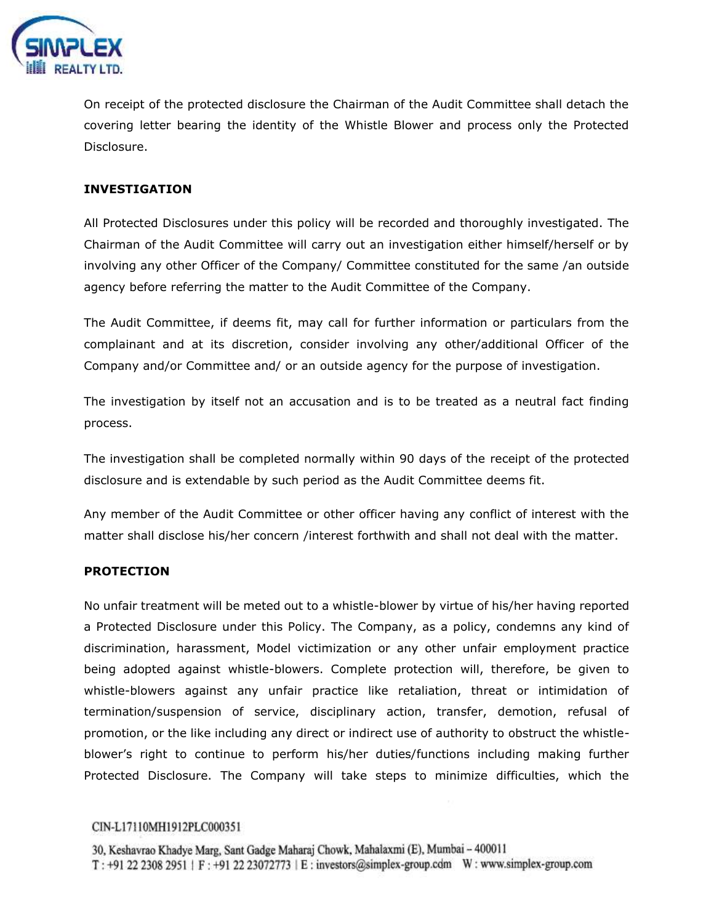

On receipt of the protected disclosure the Chairman of the Audit Committee shall detach the covering letter bearing the identity of the Whistle Blower and process only the Protected Disclosure.

# **INVESTIGATION**

All Protected Disclosures under this policy will be recorded and thoroughly investigated. The Chairman of the Audit Committee will carry out an investigation either himself/herself or by involving any other Officer of the Company/ Committee constituted for the same /an outside agency before referring the matter to the Audit Committee of the Company.

The Audit Committee, if deems fit, may call for further information or particulars from the complainant and at its discretion, consider involving any other/additional Officer of the Company and/or Committee and/ or an outside agency for the purpose of investigation.

The investigation by itself not an accusation and is to be treated as a neutral fact finding process.

The investigation shall be completed normally within 90 days of the receipt of the protected disclosure and is extendable by such period as the Audit Committee deems fit.

Any member of the Audit Committee or other officer having any conflict of interest with the matter shall disclose his/her concern /interest forthwith and shall not deal with the matter.

# **PROTECTION**

No unfair treatment will be meted out to a whistle-blower by virtue of his/her having reported a Protected Disclosure under this Policy. The Company, as a policy, condemns any kind of discrimination, harassment, Model victimization or any other unfair employment practice being adopted against whistle-blowers. Complete protection will, therefore, be given to whistle-blowers against any unfair practice like retaliation, threat or intimidation of termination/suspension of service, disciplinary action, transfer, demotion, refusal of promotion, or the like including any direct or indirect use of authority to obstruct the whistleblower's right to continue to perform his/her duties/functions including making further Protected Disclosure. The Company will take steps to minimize difficulties, which the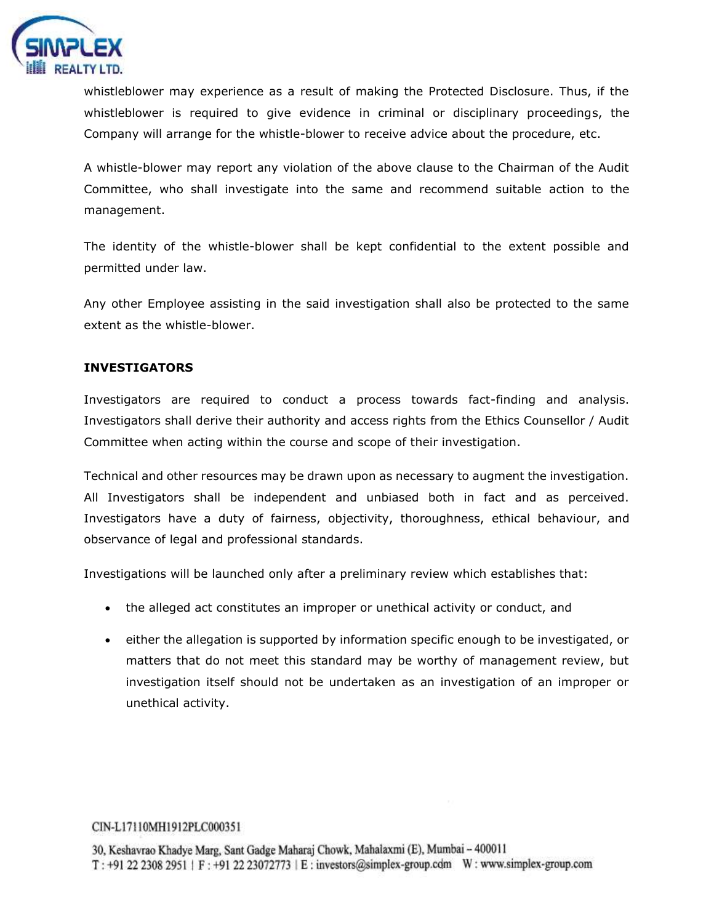

whistleblower may experience as a result of making the Protected Disclosure. Thus, if the whistleblower is required to give evidence in criminal or disciplinary proceedings, the Company will arrange for the whistle-blower to receive advice about the procedure, etc.

A whistle-blower may report any violation of the above clause to the Chairman of the Audit Committee, who shall investigate into the same and recommend suitable action to the management.

The identity of the whistle-blower shall be kept confidential to the extent possible and permitted under law.

Any other Employee assisting in the said investigation shall also be protected to the same extent as the whistle-blower.

# **INVESTIGATORS**

Investigators are required to conduct a process towards fact-finding and analysis. Investigators shall derive their authority and access rights from the Ethics Counsellor / Audit Committee when acting within the course and scope of their investigation.

Technical and other resources may be drawn upon as necessary to augment the investigation. All Investigators shall be independent and unbiased both in fact and as perceived. Investigators have a duty of fairness, objectivity, thoroughness, ethical behaviour, and observance of legal and professional standards.

Investigations will be launched only after a preliminary review which establishes that:

- the alleged act constitutes an improper or unethical activity or conduct, and
- either the allegation is supported by information specific enough to be investigated, or matters that do not meet this standard may be worthy of management review, but investigation itself should not be undertaken as an investigation of an improper or unethical activity.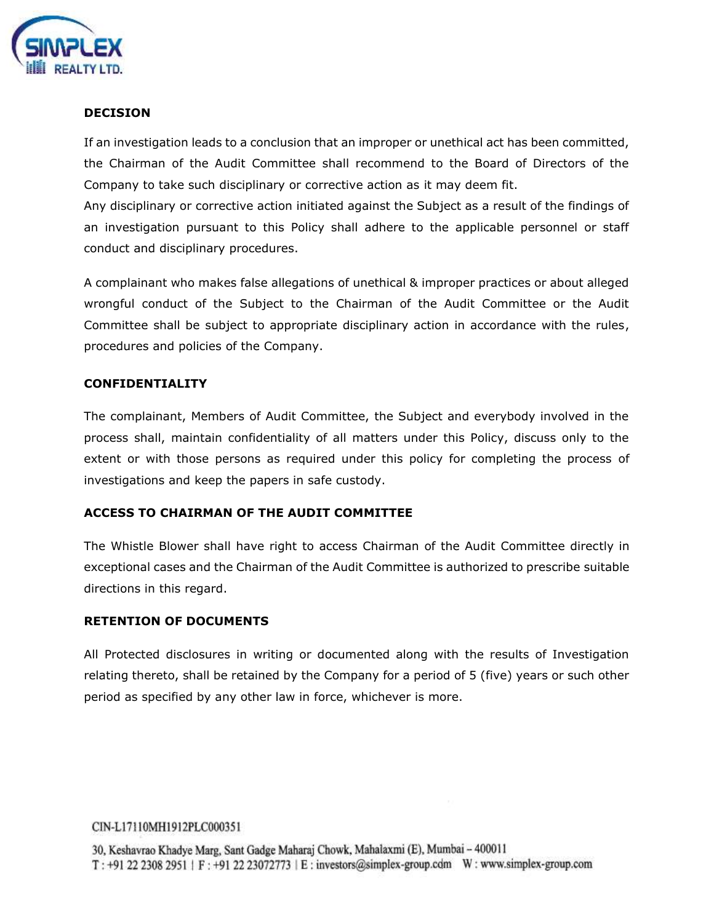

# **DECISION**

If an investigation leads to a conclusion that an improper or unethical act has been committed, the Chairman of the Audit Committee shall recommend to the Board of Directors of the Company to take such disciplinary or corrective action as it may deem fit.

Any disciplinary or corrective action initiated against the Subject as a result of the findings of an investigation pursuant to this Policy shall adhere to the applicable personnel or staff conduct and disciplinary procedures.

A complainant who makes false allegations of unethical & improper practices or about alleged wrongful conduct of the Subject to the Chairman of the Audit Committee or the Audit Committee shall be subject to appropriate disciplinary action in accordance with the rules, procedures and policies of the Company.

# **CONFIDENTIALITY**

The complainant, Members of Audit Committee, the Subject and everybody involved in the process shall, maintain confidentiality of all matters under this Policy, discuss only to the extent or with those persons as required under this policy for completing the process of investigations and keep the papers in safe custody.

#### **ACCESS TO CHAIRMAN OF THE AUDIT COMMITTEE**

The Whistle Blower shall have right to access Chairman of the Audit Committee directly in exceptional cases and the Chairman of the Audit Committee is authorized to prescribe suitable directions in this regard.

#### **RETENTION OF DOCUMENTS**

All Protected disclosures in writing or documented along with the results of Investigation relating thereto, shall be retained by the Company for a period of 5 (five) years or such other period as specified by any other law in force, whichever is more.